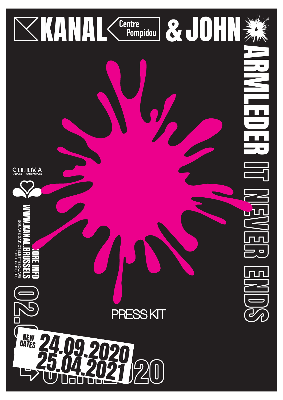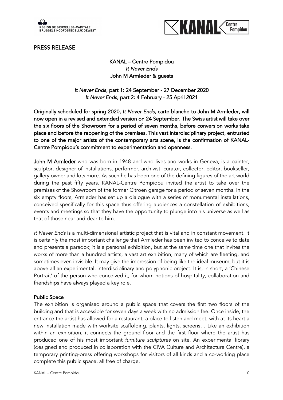





KANAL – Centre Pompidou *It Never Ends*  John M Armleder & guests

*It Never Ends*, part 1: 24 September - 27 December 2020 *It Never Ends*, part 2: 4 February - 25 April 2021

Originally scheduled for spring 2020, *It Never Ends*, carte blanche to John M Armleder, will now open in a revised and extended version on 24 September. The Swiss artist will take over the six floors of the Showroom for a period of seven months, before conversion works take place and before the reopening of the premises. This vast interdisciplinary project, entrusted to one of the major artists of the contemporary arts scene, is the confirmation of KANAL-Centre Pompidou's commitment to experimentation and openness.

John M Armleder who was born in 1948 and who lives and works in Geneva, is a painter, sculptor, designer of installations, performer, archivist, curator, collector, editor, bookseller, gallery owner and lots more. As such he has been one of the defining figures of the art world during the past fifty years. KANAL-Centre Pompidou invited the artist to take over the premises of the Showroom of the former Citroën garage for a period of seven months. In the six empty floors, Armleder has set up a dialogue with a series of monumental installations, conceived specifically for this space thus offering audiences a constellation of exhibitions, events and meetings so that they have the opportunity to plunge into his universe as well as that of those near and dear to him.

*It Never Ends* is a multi-dimensional artistic project that is vital and in constant movement. It is certainly the most important challenge that Armleder has been invited to conceive to date and presents a paradox; it is a personal exhibition, but at the same time one that invites the works of more than a hundred artists; a vast art exhibition, many of which are fleeting, and sometimes even invisible. It may give the impression of being like the ideal museum, but it is above all an experimental, interdisciplinary and polyphonic project. It is, in short, a 'Chinese Portrait' of the person who conceived it, for whom notions of hospitality, collaboration and friendships have always played a key role.

### Public Space

The exhibition is organised around a public space that covers the first two floors of the building and that is accessible for seven days a week with no admission fee. Once inside, the entrance the artist has allowed for a restaurant, a place to listen and meet, with at its heart a new installation made with worksite scaffolding, plants, lights, screens… Like an exhibition within an exhibition, it connects the ground floor and the first floor where the artist has produced one of his most important *furniture sculptures* on site. An experimental library (designed and produced in collaboration with the CIVA Culture and Architecture Centre), a temporary printing-press offering workshops for visitors of all kinds and a co-working place complete this public space, all free of charge.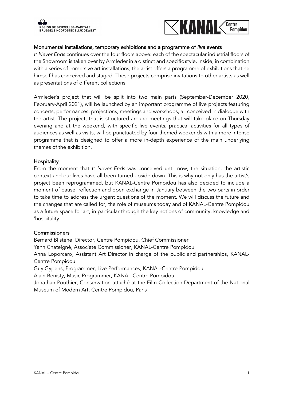



#### Monumental installations, temporary exhibitions and a programme of *live* events

*It Never Ends* continues over the four floors above: each of the spectacular industrial floors of the Showroom is taken over by Armleder in a distinct and specific style. Inside, in combination with a series of immersive art installations, the artist offers a programme of exhibitions that he himself has conceived and staged. These projects comprise invitations to other artists as well as presentations of different collections.

Armleder's project that will be split into two main parts (September-December 2020, February-April 2021), will be launched by an important programme of live projects featuring concerts, performances, projections, meetings and workshops, all conceived in dialogue with the artist. The project, that is structured around meetings that will take place on Thursday evening and at the weekend, with specific live events, practical activities for all types of audiences as well as visits, will be punctuated by four themed weekends with a more intense programme that is designed to offer a more in-depth experience of the main underlying themes of the exhibition.

#### **Hospitality**

From the moment that *It Never Ends* was conceived until now, the situation, the artistic context and our lives have all been turned upside down. This is why not only has the artist's project been reprogrammed, but KANAL-Centre Pompidou has also decided to include a moment of pause, reflection and open exchange in January between the two parts in order to take time to address the urgent questions of the moment. We will discuss the future and the changes that are called for, the role of museums today and of KANAL-Centre Pompidou as a future space for art, in particular through the key notions of community, knowledge and 'hospitality.

#### **Commissioners**

Bernard Blistène, Director, Centre Pompidou, Chief Commissioner Yann Chateigné, Associate Commissioner, KANAL-Centre Pompidou Anna Loporcaro, Assistant Art Director in charge of the public and partnerships, KANAL-Centre Pompidou Guy Gypens, Programmer, Live Performances, KANAL-Centre Pompidou Alain Benisty, Music Programmer, KANAL-Centre Pompidou Jonathan Pouthier, Conservation attaché at the Film Collection Department of the National Museum of Modern Art, Centre Pompidou, Paris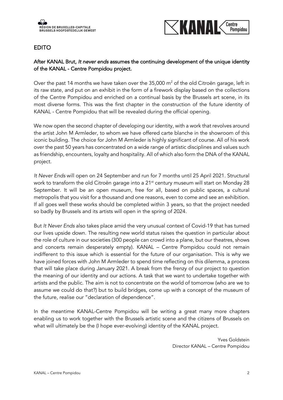

## EDITO

## After KANAL Brut, *It never ends* assumes the continuing development of the unique identity of the KANAL - Centre Pompidou project.

Over the past 14 months we have taken over the  $35,000$  m<sup>2</sup> of the old Citroën garage, left in its raw state, and put on an exhibit in the form of a firework display based on the collections of the Centre Pompidou and enriched on a continual basis by the Brussels art scene, in its most diverse forms. This was the first chapter in the construction of the future identity of KANAL - Centre Pompidou that will be revealed during the official opening.

We now open the second chapter of developing our identity, with a work that revolves around the artist John M Armleder, to whom we have offered carte blanche in the showroom of this iconic building. The choice for John M Armleder is highly significant of course. All of his work over the past 50 years has concentrated on a wide range of artistic disciplines and values such as friendship, encounters, loyalty and hospitality. All of which also form the DNA of the KANAL project.

*It Never Ends* will open on 24 September and run for 7 months until 25 April 2021. Structural work to transform the old Citroën garage into a 21<sup>st</sup> century museum will start on Monday 28 September. It will be an open museum, free for all, based on public spaces, a cultural metropolis that you visit for a thousand and one reasons, even to come and see an exhibition. If all goes well these works should be completed within 3 years, so that the project needed so badly by Brussels and its artists will open in the spring of 2024.

But *It Never Ends* also takes place amid the very unusual context of Covid-19 that has turned our lives upside down. The resulting new world status raises the question in particular about the role of culture in our societies (300 people can crowd into a plane, but our theatres, shows and concerts remain desperately empty). KANAL – Centre Pompidou could not remain indifferent to this issue which is essential for the future of our organisation. This is why we have joined forces with John M Armleder to spend time reflecting on this dilemma, a process that will take place during January 2021. A break from the frenzy of our project to question the meaning of our identity and our actions. A task that we want to undertake together with artists and the public. The aim is not to concentrate on the world of tomorrow (who are we to assume we could do that?) but to build bridges, come up with a concept of the museum of the future, realise our "declaration of dependence".

In the meantime KANAL-Centre Pompidou will be writing a great many more chapters enabling us to work together with the Brussels artistic scene and the citizens of Brussels on what will ultimately be the (I hope ever-evolving) identity of the KANAL project.

> Yves Goldstein Director KANAL – Centre Pompidou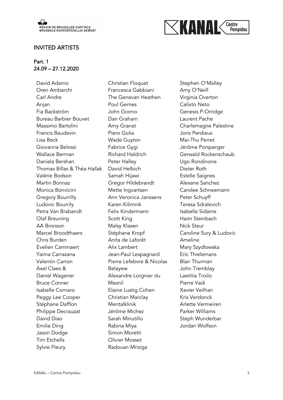

#### INVITED ARTISTS

#### Part. 1 24.09 – 27.12.2020

David Adamo Oren Ambarchi Carl Andre Anjan Fia Backström Bureau Barbier Bouvet Massimo Bartolini Francis Baudevin Lisa Beck Giovanna Belossi Wallace Berman Daniela Bershan Thomas Billas & Théa Hallak Valérie Bodson Martin Bonnaz Monica Bonvicini Gregory Bourrilly Ludovic Bourrily Petra Van Brabandt Olaf Breuning AA Bronson Marcel Broodthaers Chris Burden Evelien Cammaert Yaima Carrazana Valentin Carron Axel Claes & Daniel Wagener Bruce Conner Isabelle Cornaro Peggy Lee Cooper Stéphane Dafflon Philippe Decrauzat David Diao Emilie Ding Jason Dodge Tim Etchells Sylvie Fleury

Christian Floquet Francesca Gabbiani The Genevan Heathen Poul Gernes John Giorno Dan Graham Amy Granat Piero Golia Wade Guyton Fabrice Gygi Richard Haldrich Peter Halley David Helbich Samah Hijawi Gregor Hildebrandt Mette Ingvartsen Ann Veronica Janssens Karen Kilimnik Felix Kindermann Scott King Malsy Klasen Stéphane Kropf Anita de Laforêt Alix Lambert Jean-Paul Lespagnard Pierre Lefebvre & Nicolas Belayew Alexandre Lorgnier du Mesnil Elaine Lustig Cohen Christian Marclay Mentalklinik Jérôme Michez Sarah Minutillo Rabina Miya Simon Moretti Olivier Mosset Radouan Mriziga

Stephen O'Malley Amy O'Neill Virginia Overton Calixto Neto Genesis P-Orridge Laurent Pache Charlemagne Palestine Joris Perdieus Mai-Thu Perret Jérôme Porsperger Gerwald Rockenschaub Ugo Rondinone Dieter Roth Estelle Saignes Alexane Sanchez Carolee Schneemann Peter Schuyff Teresa Sdralevich Isabelle Sidaine Haim Steinbach Nick Steur Caroline Sury & Ludovic Ameline Mary Szydlowska Eric Thielemans Blair Thurman John Tremblay Laetitia Troilo Pierre Vadi Xavier Veilhan Kris Verdonck Arlette Vermeiren Parker Williams Steph Wunderbar Jordan Wolfson

 $\le$ kanak

Centre

Pompidou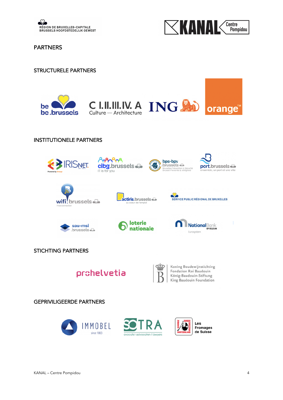



PARTNERS

#### STRUCTURELE PARTNERS









# INSTITUTIONELE PARTNERS



STICHTING PARTNERS





Koning Boudewijnstichting Fondation Roi Baudouin König-Baudouin-Stiftung<br>König-Baudouin-Stiftung<br>King Baudouin Foundation

## GEPRIVILIGEERDE PARTNERS





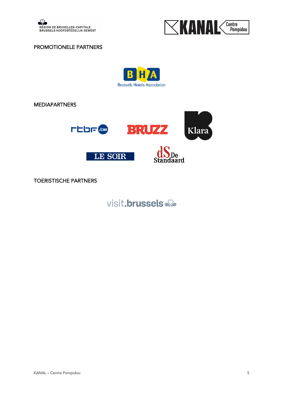



#### PROMOTIONELE PARTNERS



MEDIAPARTNERS



TOERISTISCHE PARTNERS

visit.brussels